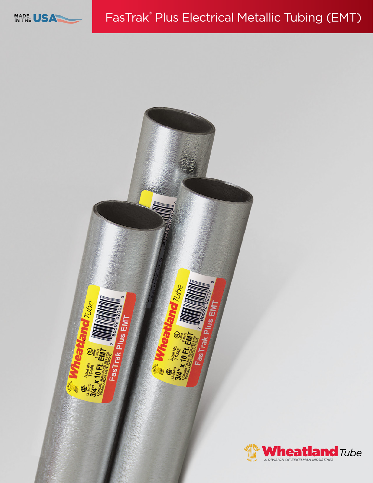

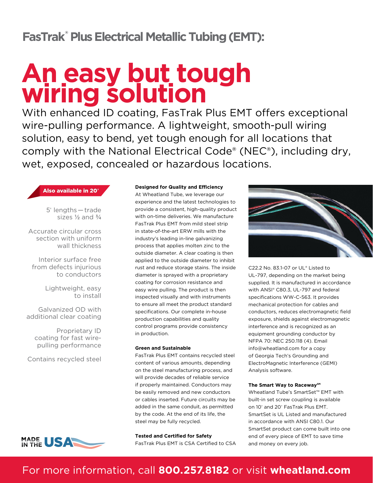## **FasTrak® Plus Electrical Metallic Tubing (EMT):**

# **An easy but tough wiring solution**

With enhanced ID coating, FasTrak Plus EMT offers exceptional wire-pulling performance. A lightweight, smooth-pull wiring solution, easy to bend, yet tough enough for all locations that comply with the National Electrical Code® (NEC®), including dry, wet, exposed, concealed or hazardous locations.

Also available in 20**'**

5' lengths — trade sizes  $\frac{1}{2}$  and  $\frac{3}{4}$ 

Accurate circular cross section with uniform wall thickness

Interior surface free from defects injurious to conductors

> Lightweight, easy to install

Galvanized OD with additional clear coating

Proprietary ID coating for fast wirepulling performance

Contains recycled steel



#### **Designed for Quality and Efficiency**

At Wheatland Tube, we leverage our experience and the latest technologies to provide a consistent, high-quality product with on-time deliveries. We manufacture FasTrak Plus EMT from mild steel strip in state-of-the-art ERW mills with the industry's leading in-line galvanizing process that applies molten zinc to the outside diameter. A clear coating is then applied to the outside diameter to inhibit rust and reduce storage stains. The inside diameter is sprayed with a proprietary coating for corrosion resistance and easy wire pulling. The product is then inspected visually and with instruments to ensure all meet the product standard specifications. Our complete in-house production capabilities and quality control programs provide consistency in production.

#### **Green and Sustainable**

FasTrak Plus EMT contains recycled steel content of various amounts, depending on the steel manufacturing process, and will provide decades of reliable service if properly maintained. Conductors may be easily removed and new conductors or cables inserted. Future circuits may be added in the same conduit, as permitted by the code. At the end of its life, the steel may be fully recycled.

**Tested and Certified for Safety** FasTrak Plus EMT is CSA Certified to CSA



C22.2 No. 83.1-07 or UL® Listed to UL-797, depending on the market being supplied. It is manufactured in accordance with ANSI® C80.3, UL-797 and federal specifications WW-C-563. It provides mechanical protection for cables and conductors, reduces electromagnetic field exposure, shields against electromagnetic interference and is recognized as an equipment grounding conductor by NFPA 70: NEC 250.118 (4). Email [info@wheatland.com](mailto:info@wheatland.com) for a copy of Georgia Tech's Grounding and ElectroMagnetic Interference (GEMI) Analysis software.

#### **The Smart Way to Raceway**<sup>SM</sup>

Wheatland Tube's SmartSet™ EMT with built-in set screw coupling is available on 10' and 20' FasTrak Plus EMT. SmartSet is UL Listed and manufactured in accordance with ANSI C80.1. Our SmartSet product can come built into one end of every piece of EMT to save time and money on every job.

## For more information, call **800.257.8182** or visit **wheatland.com**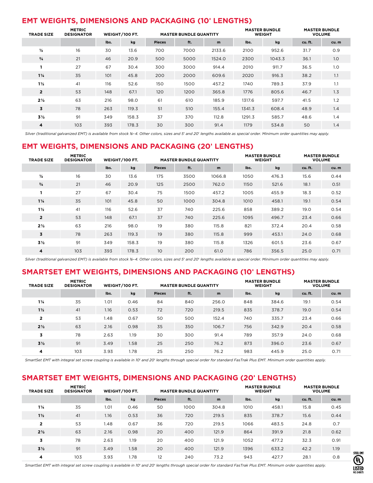## **EMT WEIGHTS, DIMENSIONS AND PACKAGING (10' LENGTHS)**

| <b>TRADE SIZE</b> | <b>METRIC</b><br><b>DESIGNATOR</b> |      | WEIGHT/100 FT. |               | <b>MASTER BUNDLE QUANTITY</b> |        | <b>MASTER BUNDLE</b><br><b>WEIGHT</b> |        | <b>MASTER BUNDLE</b><br><b>VOLUME</b> |      |
|-------------------|------------------------------------|------|----------------|---------------|-------------------------------|--------|---------------------------------------|--------|---------------------------------------|------|
|                   |                                    | lbs. | kg             | <b>Pieces</b> | ft.                           | m      | lbs.                                  | kg     | cu.ft.                                | cu.m |
| $\frac{1}{2}$     | 16                                 | 30   | 13.6           | 700           | 7000                          | 2133.6 | 2100                                  | 952.6  | 31.7                                  | O.9  |
| $\frac{3}{4}$     | 21                                 | 46   | 20.9           | 500           | 5000                          | 1524.0 | 2300                                  | 1043.3 | 36.1                                  | 1.0  |
| 1                 | 27                                 | 67   | 30.4           | 300           | 3000                          | 914.4  | 2010                                  | 911.7  | 36.5                                  | 1.0  |
| $1\frac{1}{4}$    | 35                                 | 101  | 45.8           | 200           | 2000                          | 609.6  | 2020                                  | 916.3  | 38.2                                  | 1.1  |
| $1\frac{1}{2}$    | 41                                 | 116  | 52.6           | 150           | 1500                          | 457.2  | 1740                                  | 789.3  | 37.9                                  | 1.1  |
| $\overline{2}$    | 53                                 | 148  | 67.1           | 120           | 1200                          | 365.8  | 1776                                  | 805.6  | 46.7                                  | 1.3  |
| $2\frac{1}{2}$    | 63                                 | 216  | 98.0           | 61            | 610                           | 185.9  | 1317.6                                | 597.7  | 41.5                                  | 1.2  |
| 3                 | 78                                 | 263  | 119.3          | 51            | 510                           | 155.4  | 1341.3                                | 608.4  | 48.9                                  | 1.4  |
| $3\frac{1}{2}$    | 91                                 | 349  | 158.3          | 37            | 370                           | 112.8  | 1291.3                                | 585.7  | 48.6                                  | 1.4  |
| 4                 | 103                                | 393  | 178.3          | 30            | 300                           | 91.4   | 1179                                  | 534.8  | 50                                    | 1.4  |

*Silver (traditional galvanized EMT) is available from stock ½–4. Other colors, sizes and 5*' *and 20*' *lengths available as special order. Minimum order quantities may apply.*

### **EMT WEIGHTS, DIMENSIONS AND PACKAGING (20' LENGTHS)**

| <b>TRADE SIZE</b> | <b>METRIC</b><br><b>DESIGNATOR</b> |      | WEIGHT/100 FT. |               | <b>MASTER BUNDLE QUANTITY</b> |        | <b>MASTER BUNDLE</b><br><b>WEIGHT</b> |       | <b>MASTER BUNDLE</b><br><b>VOLUME</b> |      |
|-------------------|------------------------------------|------|----------------|---------------|-------------------------------|--------|---------------------------------------|-------|---------------------------------------|------|
|                   |                                    | lbs. | kg             | <b>Pieces</b> | ft.                           | m      | lbs.                                  | kg    | cu. ft.                               | cu.m |
| $\frac{1}{2}$     | 16                                 | 30   | 13.6           | 175           | 3500                          | 1066.8 | 1050                                  | 476.3 | 15.6                                  | 0.44 |
| $^{3}/_{4}$       | 21                                 | 46   | 20.9           | 125           | 2500                          | 762.0  | 1150                                  | 521.6 | 18.1                                  | 0.51 |
|                   | 27                                 | 67   | 30.4           | 75            | 1500                          | 457.2  | 1005                                  | 455.9 | 18.3                                  | 0.52 |
| $1\frac{1}{4}$    | 35                                 | 101  | 45.8           | 50            | 1000                          | 304.8  | 1010                                  | 458.1 | 19.1                                  | 0.54 |
| $1\frac{1}{2}$    | 41                                 | 116  | 52.6           | 37            | 740                           | 225.6  | 858                                   | 389.2 | 19.0                                  | 0.54 |
| $\overline{2}$    | 53                                 | 148  | 67.1           | 37            | 740                           | 225.6  | 1095                                  | 496.7 | 23.4                                  | 0.66 |
| $2\frac{1}{2}$    | 63                                 | 216  | 98.0           | 19            | 380                           | 115.8  | 821                                   | 372.4 | 20.4                                  | 0.58 |
| 3                 | 78                                 | 263  | 119.3          | 19            | 380                           | 115.8  | 999                                   | 453.1 | 24.0                                  | 0.68 |
| $3\frac{1}{2}$    | 91                                 | 349  | 158.3          | 19            | 380                           | 115.8  | 1326                                  | 601.5 | 23.6                                  | 0.67 |
| 4                 | 103                                | 393  | 178.3          | 10            | 200                           | 61.0   | 786                                   | 356.5 | 25.0                                  | 0.71 |

*Silver (traditional galvanized EMT) is available from stock ½–4. Other colors, sizes and 5*' *and 20*' *lengths available as special order. Minimum order quantities may apply.*

#### **SMARTSET EMT WEIGHTS, DIMENSIONS AND PACKAGING (10' LENGTHS)**

| <b>TRADE SIZE</b> | <b>METRIC</b><br><b>DESIGNATOR</b> |      | WEIGHT/100 FT. |               | <b>MASTER BUNDLE QUANTITY</b> |       | <b>MASTER BUNDLE</b><br><b>WEIGHT</b> |       | <b>MASTER BUNDLE</b><br><b>VOLUME</b> |      |
|-------------------|------------------------------------|------|----------------|---------------|-------------------------------|-------|---------------------------------------|-------|---------------------------------------|------|
|                   |                                    | lbs. | kg             | <b>Pieces</b> | ft.                           | m     | lbs.                                  | kg    | cu. ft.                               | cu.m |
| $1\frac{1}{4}$    | 35                                 | 1.01 | 0.46           | 84            | 840                           | 256.0 | 848                                   | 384.6 | 19.1                                  | 0.54 |
| $1\frac{1}{2}$    | 41                                 | 1.16 | 0.53           | 72            | 720                           | 219.5 | 835                                   | 378.7 | 19.0                                  | 0.54 |
| $\overline{2}$    | 53                                 | 1.48 | 0.67           | 50            | 500                           | 152.4 | 740                                   | 335.7 | 23.4                                  | 0.66 |
| $2\frac{1}{2}$    | 63                                 | 2.16 | 0.98           | 35            | 350                           | 106.7 | 756                                   | 342.9 | 20.4                                  | 0.58 |
| 3                 | 78                                 | 2.63 | 1.19           | 30            | 300                           | 91.4  | 789                                   | 357.9 | 24.0                                  | 0.68 |
| $3\frac{1}{2}$    | 91                                 | 3.49 | 1.58           | 25            | 250                           | 76.2  | 873                                   | 396.0 | 23.6                                  | 0.67 |
| 4                 | 103                                | 3.93 | 1.78           | 25            | 250                           | 76.2  | 983                                   | 445.9 | 25.0                                  | 0.71 |

*SmartSet EMT with integral set screw coupling is available in 10*' *and 20*' *lengths through special order for standard FasTrak Plus EMT. Minimum order quantities apply.*

#### **SMARTSET EMT WEIGHTS, DIMENSIONS AND PACKAGING (20' LENGTHS)**

| <b>TRADE SIZE</b> | <b>METRIC</b><br><b>DESIGNATOR</b> |      | WEIGHT/100 FT. |               | <b>MASTER BUNDLE QUANTITY</b> |       | <b>MASTER BUNDLE</b><br><b>WEIGHT</b> |       | <b>MASTER BUNDLE</b><br><b>VOLUME</b> |      |
|-------------------|------------------------------------|------|----------------|---------------|-------------------------------|-------|---------------------------------------|-------|---------------------------------------|------|
|                   |                                    | lbs. | kg             | <b>Pieces</b> | ft.                           | m     | lbs.                                  | kg    | cu.ft.                                | cu.m |
| $1\frac{1}{4}$    | 35                                 | 1.01 | 0.46           | 50            | 1000                          | 304.8 | 1010                                  | 458.1 | 15.8                                  | 0.45 |
| $1\frac{1}{2}$    | 41                                 | 1.16 | 0.53           | 36            | 720                           | 219.5 | 835                                   | 378.7 | 15.6                                  | 0.44 |
| $\overline{2}$    | 53                                 | 1.48 | 0.67           | 36            | 720                           | 219.5 | 1066                                  | 483.5 | 24.8                                  | 0.7  |
| $2\frac{1}{2}$    | 63                                 | 2.16 | 0.98           | 20            | 400                           | 121.9 | 864                                   | 391.9 | 21.8                                  | 0.62 |
| 3                 | 78                                 | 2.63 | 1.19           | 20            | 400                           | 121.9 | 1052                                  | 477.2 | 32.3                                  | 0.91 |
| $3\frac{1}{2}$    | 91                                 | 3.49 | 1.58           | 20            | 400                           | 121.9 | 1396                                  | 633.2 | 42.2                                  | 1.19 |
| 4                 | 103                                | 3.93 | 1.78           | 12            | 240                           | 73.2  | 943                                   | 427.7 | 28.1                                  | O.8  |

*SmartSet EMT with integral set screw coupling is available in 10*' *and 20*' *lengths through special order for standard FasTrak Plus EMT. Minimum order quantities apply.*